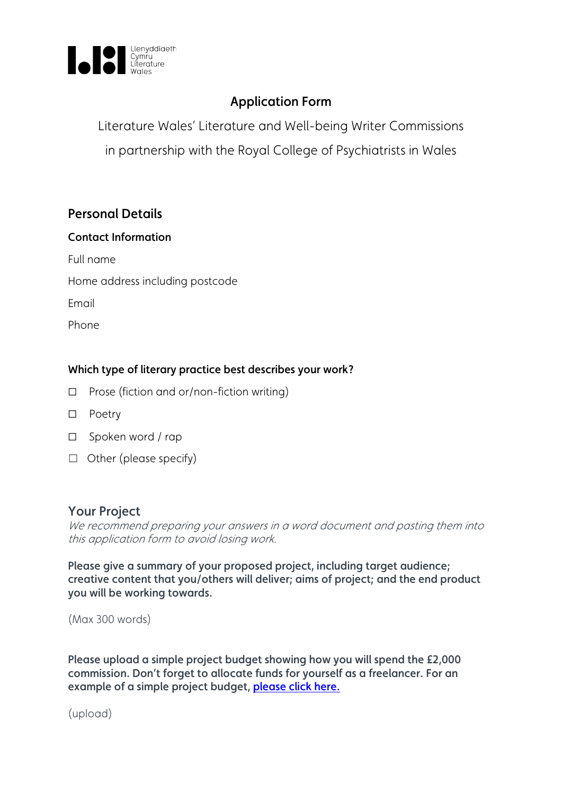

# Application Form

Literature Wales' Literature and Well-being Writer Commissions in partnership with the Royal College of Psychiatrists in Wales

# Personal Details

#### Contact Information

Full name

Home address including postcode

Email

Phone

### Which type of literary practice best describes your work?

- ☐ Prose (fiction and or/non-fiction writing)
- ☐ Poetry
- ☐ Spoken word / rap
- ☐ Other (please specify)

## Your Project

We recommend preparing your answers in a word document and pasting them into this application form to avoid losing work.

Please give a summary of your proposed project, including target audience; creative content that you/others will deliver; aims of project; and the end product you will be working towards.

(Max 300 words)

Please upload a simple project budget showing how you will spend the £2,000 commission. Don't forget to allocate funds for yourself as a freelancer. For an example of a simple project budget, [please click here.](https://www.literaturewales.org/wp-content/uploads/2021/01/Literature-Wales-Writer-Commissions-Budget-Notes-and-Template.pdf)

(upload)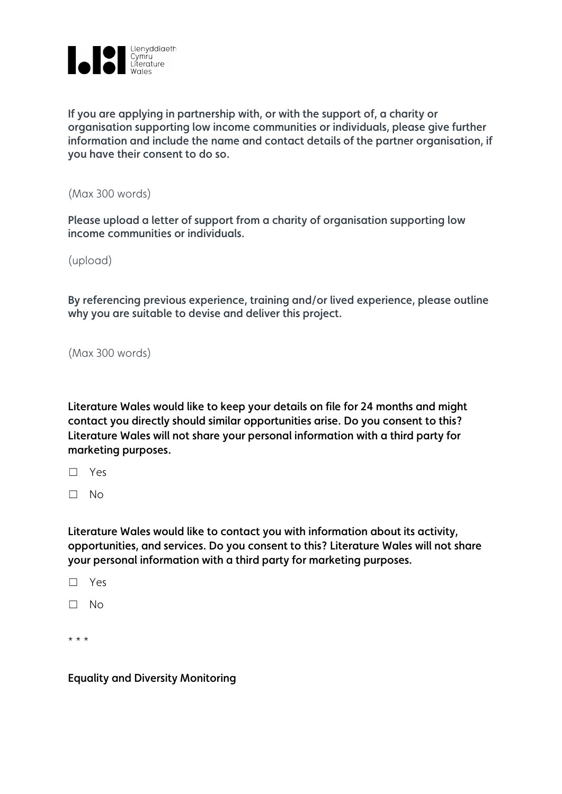

If you are applying in partnership with, or with the support of, a charity or organisation supporting low income communities or individuals, please give further information and include the name and contact details of the partner organisation, if you have their consent to do so.

(Max 300 words)

Please upload a letter of support from a charity of organisation supporting low income communities or individuals.

(upload)

By referencing previous experience, training and/or lived experience, please outline why you are suitable to devise and deliver this project.

(Max 300 words)

Literature Wales would like to keep your details on file for 24 months and might contact you directly should similar opportunities arise. Do you consent to this? Literature Wales will not share your personal information with a third party for marketing purposes.

☐ Yes

☐ No

Literature Wales would like to contact you with information about its activity, opportunities, and services. Do you consent to this? Literature Wales will not share your personal information with a third party for marketing purposes.

☐ Yes

☐ No

\* \* \*

Equality and Diversity Monitoring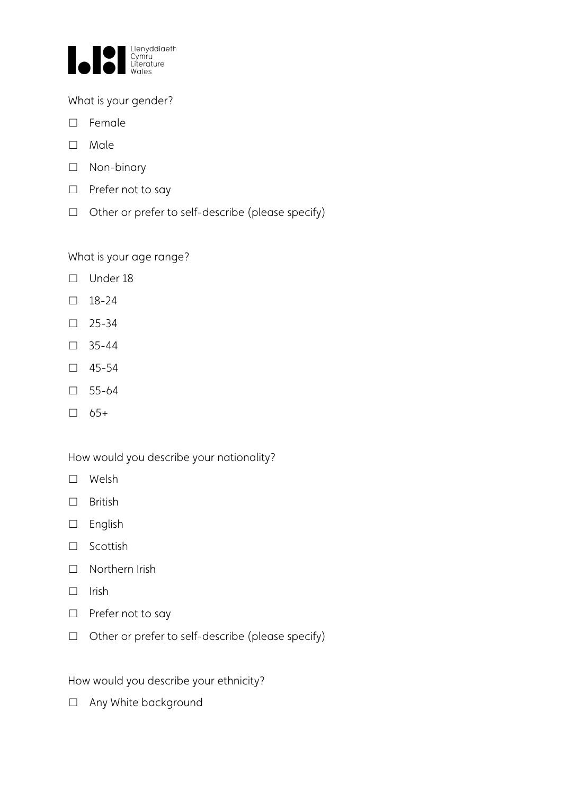

What is your gender?

- ☐ Female
- ☐ Male
- ☐ Non-binary
- □ Prefer not to say
- ☐ Other or prefer to self-describe (please specify)

What is your age range?

- ☐ Under 18
- ☐ 18-24
- ☐ 25-34
- ☐ 35-44
- ☐ 45-54
- ☐ 55-64
- $\square$  65+

How would you describe your nationality?

- ☐ Welsh
- ☐ British
- ☐ English
- ☐ Scottish
- ☐ Northern Irish
- ☐ Irish
- □ Prefer not to say
- ☐ Other or prefer to self-describe (please specify)

How would you describe your ethnicity?

□ Any White background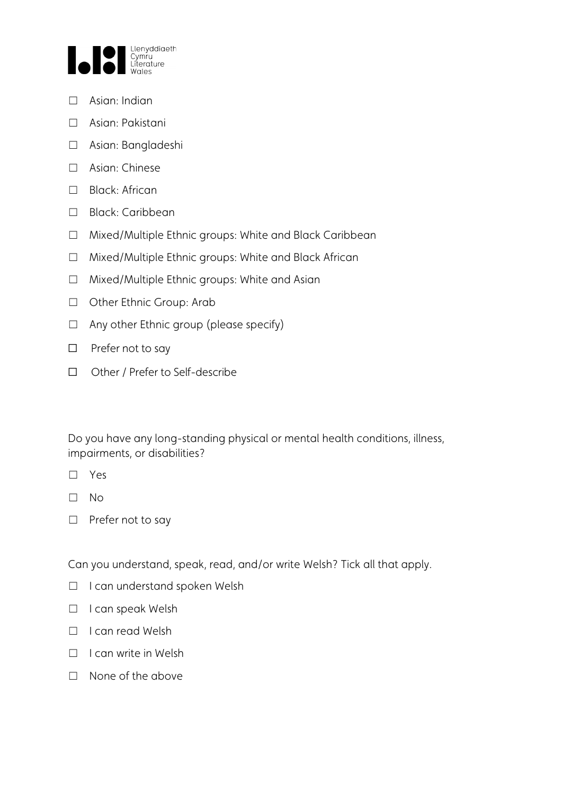

- ☐ Asian: Indian
- ☐ Asian: Pakistani
- ☐ Asian: Bangladeshi
- ☐ Asian: Chinese
- ☐ Black: African
- ☐ Black: Caribbean
- ☐ Mixed/Multiple Ethnic groups: White and Black Caribbean
- ☐ Mixed/Multiple Ethnic groups: White and Black African
- ☐ Mixed/Multiple Ethnic groups: White and Asian
- ☐ Other Ethnic Group: Arab
- $\Box$  Any other Ethnic group (please specify)
- ☐ Prefer not to say
- ☐ Other / Prefer to Self-describe

Do you have any long-standing physical or mental health conditions, illness, impairments, or disabilities?

- ☐ Yes
- ☐ No
- □ Prefer not to say

Can you understand, speak, read, and/or write Welsh? Tick all that apply.

- ☐ I can understand spoken Welsh
- ☐ I can speak Welsh
- ☐ I can read Welsh
- □ I can write in Welsh
- ☐ None of the above